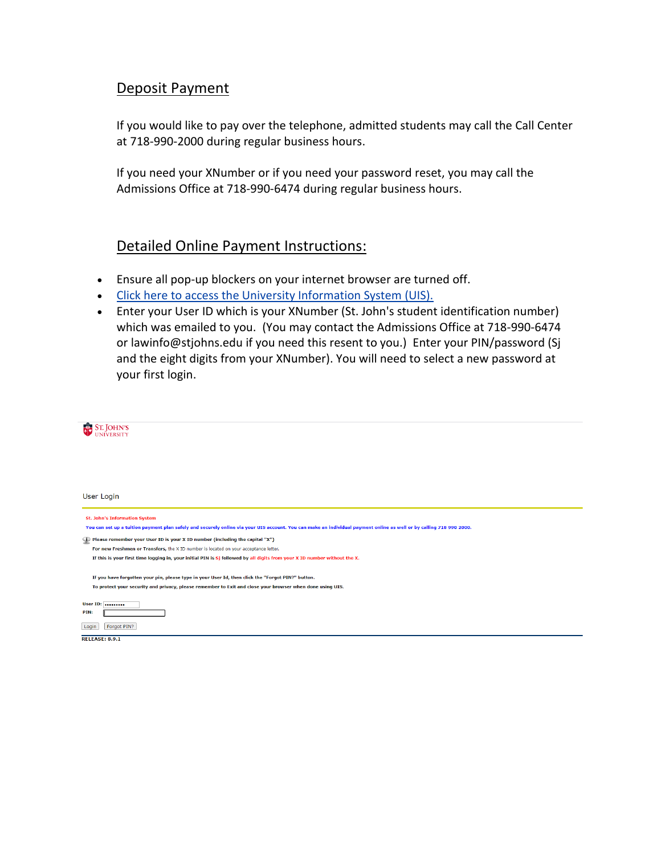## Deposit Payment

If you would like to pay over the telephone, admitted students may call the Call Center at 718-990-2000 during regular business hours.

If you need your XNumber or if you need your password reset, you may call the Admissions Office at 718-990-6474 during regular business hours.

## Detailed Online Payment Instructions:

- Ensure all pop-up blockers on your internet browser are turned off.
- [Click here to access the University Information System \(UIS\).](https://apollo.stjohns.edu/sjusis/twbkwbis.P_WWWLogin)
- Enter your User ID which is your XNumber (St. John's student identification number) which was emailed to you. (You may contact the Admissions Office at 718-990-6474 or lawinfo@stjohns.edu if you need this resent to you.) Enter your PIN/password (Sj and the eight digits from your XNumber). You will need to select a new password at your first login.

| ST. JOHN'S                                                                                                                                                           |
|----------------------------------------------------------------------------------------------------------------------------------------------------------------------|
|                                                                                                                                                                      |
|                                                                                                                                                                      |
|                                                                                                                                                                      |
|                                                                                                                                                                      |
|                                                                                                                                                                      |
| User Login                                                                                                                                                           |
|                                                                                                                                                                      |
| <b>St. John's Information System</b>                                                                                                                                 |
| You can set up a tuition payment plan safely and securely online via your UIS account. You can make an individual payment online as well or by calling 718 990 2000. |
|                                                                                                                                                                      |
| (i) Please remember your User ID is your X ID number (including the capital "X")                                                                                     |
| For new Freshmen or Transfers, the X ID number is located on your acceptance letter.                                                                                 |
| If this is your first time logging in, your initial PIN is Si followed by all digits from your X ID number without the X.                                            |
|                                                                                                                                                                      |
| If you have forgotten your pin, please type in your User Id, then click the "Forgot PIN?" button.                                                                    |
| To protect your security and privacy, please remember to Exit and close your browser when done using UIS.                                                            |
|                                                                                                                                                                      |
| User ID:                                                                                                                                                             |
| PIN:                                                                                                                                                                 |
| Forgot PIN?<br>Login                                                                                                                                                 |
| <b>RELEASE: 8.9.1</b>                                                                                                                                                |
|                                                                                                                                                                      |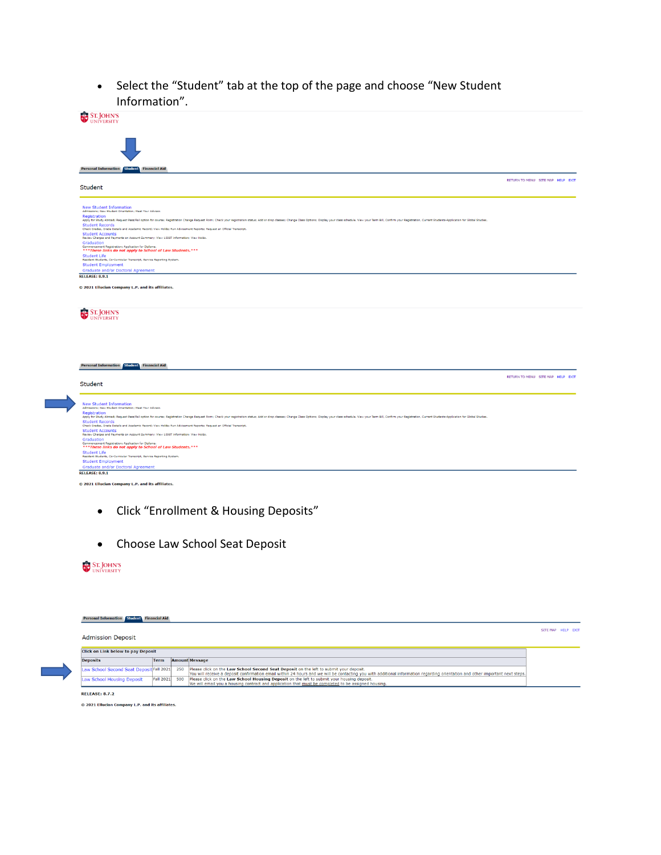• Select the "Student" tab at the top of the page and choose "New Student Information".



- Click "Enrollment & Housing Deposits"
- Choose Law School Seat Deposit

## **ST. JOHN'S**<br>UNIVERSITY

| <b>Personal Information Student Financial Aid</b> |                  |     |                                                                                                                                                                                                                                                                         |                    |
|---------------------------------------------------|------------------|-----|-------------------------------------------------------------------------------------------------------------------------------------------------------------------------------------------------------------------------------------------------------------------------|--------------------|
|                                                   |                  |     |                                                                                                                                                                                                                                                                         | SITE MAP HELP EXIT |
| <b>Admission Deposit</b>                          |                  |     |                                                                                                                                                                                                                                                                         |                    |
| <b>Click on Link below to pay Deposit</b>         |                  |     |                                                                                                                                                                                                                                                                         |                    |
| <b>Deposits</b>                                   | <b>Term</b>      |     | <b>Amount Message</b>                                                                                                                                                                                                                                                   |                    |
| Law School Second Seat Deposit Fall 2021          |                  | 250 | Please click on the Law School Second Seat Deposit on the left to submit your deposit.<br>You will receive a deposit confirmation email within 24 hours and we will be contacting you with additional information regarding orientation and other important next steps. |                    |
| Law School Housing Deposit                        | <b>Fall 2021</b> | 500 | Please click on the Law School Housing Deposit on the left to submit your housing deposit.<br>We will email you a housing contract and application that must be completed to be assigned housing.                                                                       |                    |
| <b>RELEASE: 8.7.2</b>                             |                  |     |                                                                                                                                                                                                                                                                         |                    |

© 2021 Ellucian Company L.P. and its affiliates.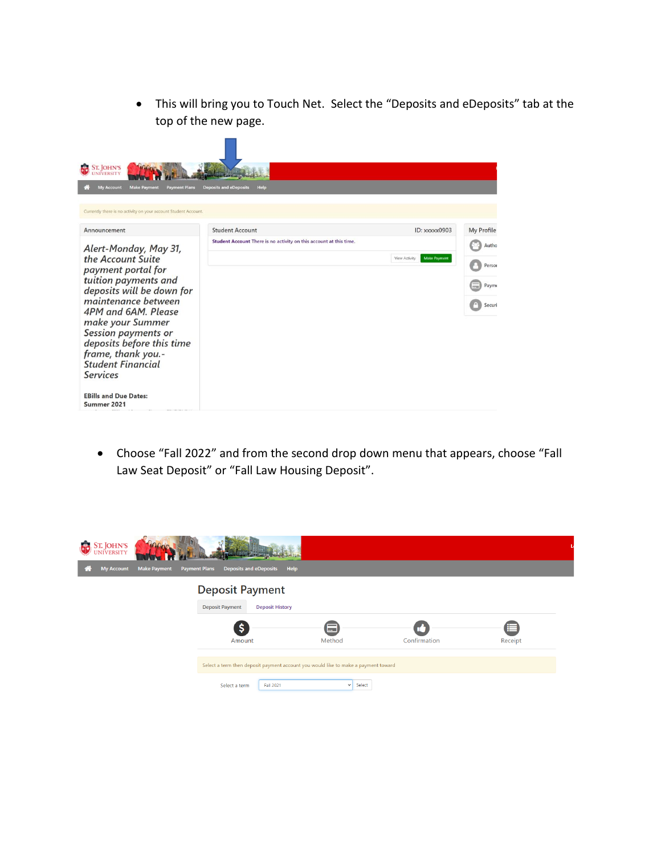• This will bring you to Touch Net. Select the "Deposits and eDeposits" tab at the top of the new page.

| <b>ST. JOHN'S</b><br><b>VERSITY</b>                              |                                                                    |                                      |            |
|------------------------------------------------------------------|--------------------------------------------------------------------|--------------------------------------|------------|
| <b>My Account</b><br><b>Make Payment</b><br><b>Payment Plans</b> | <b>Deposits and eDeposits</b><br>Help                              |                                      |            |
|                                                                  |                                                                    |                                      |            |
| Currently there is no activity on your account Student Account.  |                                                                    |                                      |            |
| Announcement                                                     | <b>Student Account</b>                                             | ID: xxxxx0903                        | My Profile |
| Alert-Monday, May 31,                                            | Student Account There is no activity on this account at this time. |                                      | Autho      |
| the Account Suite<br>payment portal for                          |                                                                    | <b>Make Payment</b><br>View Activity | Person     |
| tuition payments and<br>deposits will be down for                |                                                                    |                                      | Payme      |
| maintenance between<br>4PM and 6AM, Please                       |                                                                    |                                      | Securi     |
| make your Summer                                                 |                                                                    |                                      |            |
| Session payments or                                              |                                                                    |                                      |            |
| deposits before this time<br>frame, thank you .-                 |                                                                    |                                      |            |
| <b>Student Financial</b>                                         |                                                                    |                                      |            |
| <b>Services</b>                                                  |                                                                    |                                      |            |
| <b>EBills and Due Dates:</b>                                     |                                                                    |                                      |            |
| Summer 2021                                                      |                                                                    |                                      |            |

• Choose "Fall 2022" and from the second drop down menu that appears, choose "Fall Law Seat Deposit" or "Fall Law Housing Deposit".

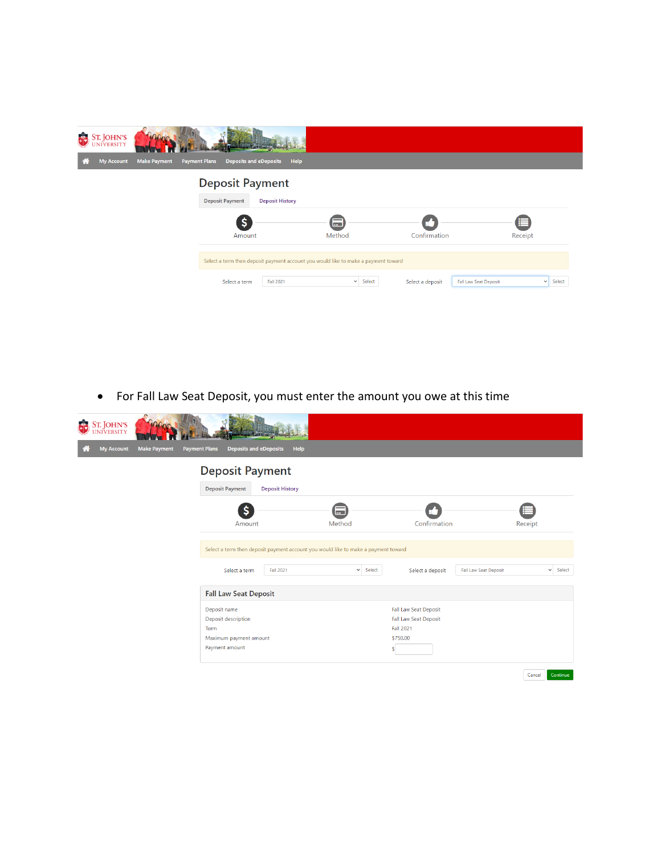

• For Fall Law Seat Deposit, you must enter the amount you owe at this time